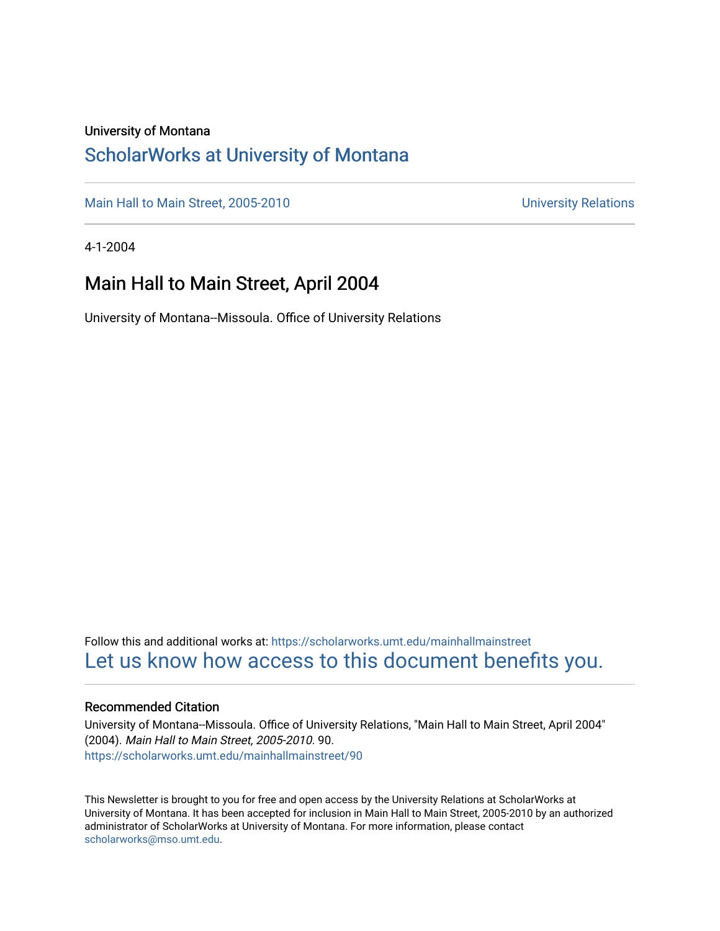#### University of Montana

#### [ScholarWorks at University of Montana](https://scholarworks.umt.edu/)

[Main Hall to Main Street, 2005-2010](https://scholarworks.umt.edu/mainhallmainstreet) Main Hall to Main Street, 2005-2010

4-1-2004

#### Main Hall to Main Street, April 2004

University of Montana--Missoula. Office of University Relations

Follow this and additional works at: [https://scholarworks.umt.edu/mainhallmainstreet](https://scholarworks.umt.edu/mainhallmainstreet?utm_source=scholarworks.umt.edu%2Fmainhallmainstreet%2F90&utm_medium=PDF&utm_campaign=PDFCoverPages) [Let us know how access to this document benefits you.](https://goo.gl/forms/s2rGfXOLzz71qgsB2) 

#### Recommended Citation

University of Montana--Missoula. Office of University Relations, "Main Hall to Main Street, April 2004" (2004). Main Hall to Main Street, 2005-2010. 90. [https://scholarworks.umt.edu/mainhallmainstreet/90](https://scholarworks.umt.edu/mainhallmainstreet/90?utm_source=scholarworks.umt.edu%2Fmainhallmainstreet%2F90&utm_medium=PDF&utm_campaign=PDFCoverPages) 

This Newsletter is brought to you for free and open access by the University Relations at ScholarWorks at University of Montana. It has been accepted for inclusion in Main Hall to Main Street, 2005-2010 by an authorized administrator of ScholarWorks at University of Montana. For more information, please contact [scholarworks@mso.umt.edu.](mailto:scholarworks@mso.umt.edu)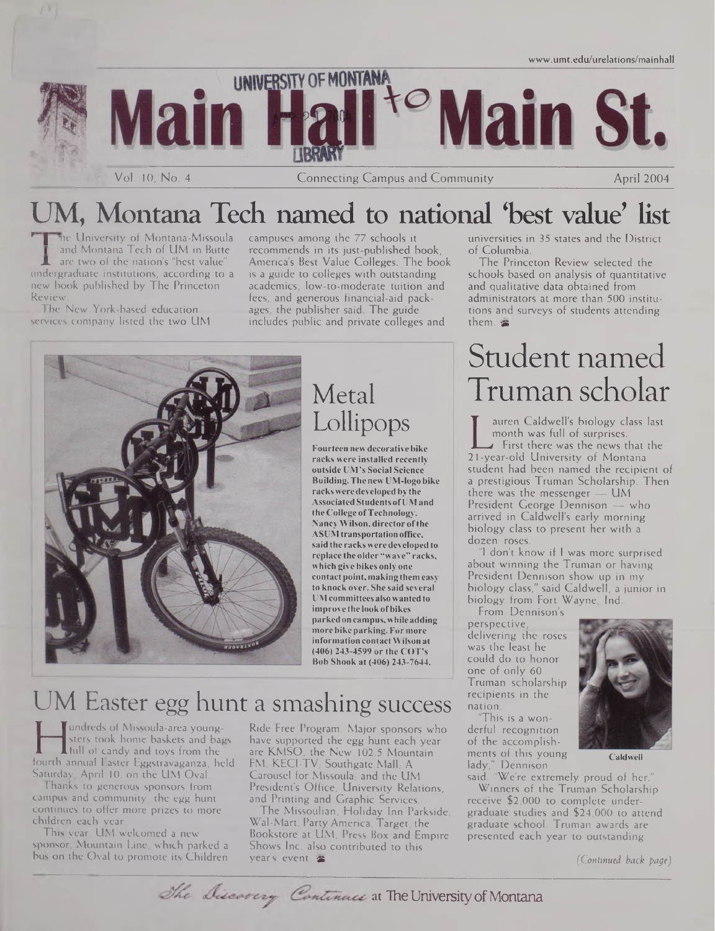

## UM, Montana Tech named to national 'best value' list

me University of Montana-Missoula and Montana Tech of UM in Butte are two of the nation's "best value undergraduate institutions, according to a new book published by The Princeton Review.

The New York-based education services company listed the two UM campuses among the 77 schools it recommends in its just-published book, America's Best Value Colleges. The book is a guide to colleges with outstanding academics, low-to-moderate tuition and fees, and generous financial-aid packages, the publisher said. The guide includes public and private colleges and



## Metal Lollipops

**Fourteen newdecorativebike racks were installed recently outside UM's Social Science Building.Thenew UM-logo bike racks weredeveloped bythe Associated Students ofUMand theCollege ofTechnology. NancyWilson, director ofthe ASUM transportationoffice, said the racksweredevelopedto replace the older"wave" racks, which give bikes only one contactpoint,makingthem easy to knock over. She said several UMcommittees alsowantedto improve the lookofbikes parked on campus,whileadding morebikeparking.For more information contactWilson at (406) 243-4599 or the COT's Bob Shook at (406) 243-7644.**

## UM Easter egg hunt a smashing success

sters took home baskets and bags<br>full of candy and toys from the are lourth annual Easter Eggstravaganza, held FM.<br>Saturday April 10 on the UM Oval Care undreds of Missoula-area youngsters took home baskets and bags I full of candy and toys from the Saturday, April 10, on the UM Oval.

Thanks to generous sponsors from campus and community, the egg hunt continues to offer more prizes to more children each year.

This year, UM welcomed a new sponsor. Mountain Line, which parked a bus on the Oval to promote its Children Ride Free Program. Major sponsors who have supported the egg hunt each year are KMSO, the New 102.5 Mountain FM; KECI-TV; Southgate Mall, A Carousel for Missoula, and the UM President's Office, University Relations, and Printing and Graphic Services.

The Missoulian, Holiday Inn Parkside, Wal-Mart, Party America, Target, the Bookstore at UM, Press Box and Empire Shows Inc. also contributed to this year's event. &

universities in 35 states and the District of Columbia.

The Princeton Review selected the schools based on analysis of quantitative and qualitative data obtained from administrators at more than 500 institutions and surveys of students attending them.

# Student named Truman scholar

month was full of surprises.<br>First there was the news that the<br>21-year-old University of Montana<br>tudont had been named the recipient auren Caldwell's biology class last month was full of surprises.<br>First there was the news that the student had been named the recipient of a prestigious Truman Scholarship. Then there was the messenger  $-$  UM President George Dennison — who arrived in Caldwell's early morning biology class to present her with a dozen roses.

I don't know if I was more surprised. about winning the Truman or having President Dennison show up in my biology class," said Caldwell, a junior in biology from Fort Wayne, Ind.

From Dennison's perspective, delivering the roses was the least he could do to honor one of only 60 Truman scholarship recipients in the nation.

"This is a wonderful recognition of the accomplishments of this young lady," Dennison

said. "We're exti Winners of the Truman Scholarship. receive \$2,000 to complete undergraduate studies and  $$24,000$  to attend graduate school. Truman awards are presented each year to outstanding presented each year to outstanding

*(Continued back page)*



**Caldwell**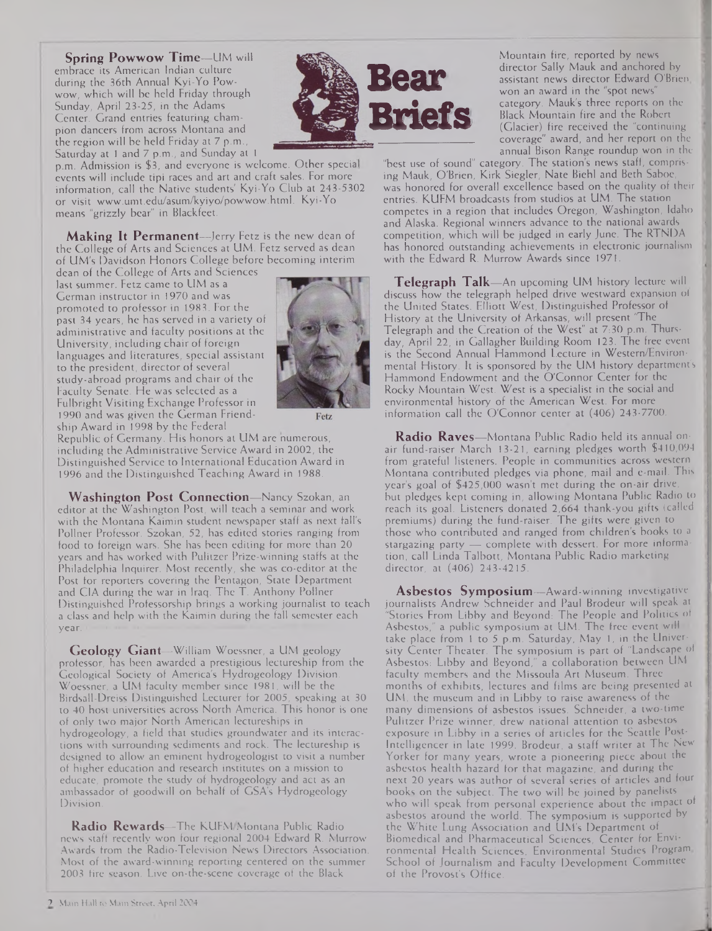**Spring Powwow Time—**LIM will embrace its American Indian culture during the 36th Annual Kyi-Yo Powwow, which will be held Friday through Sunday, April 23-25, in the Adams Center. Grand entries featuring champion dancers from across Montana and the region will be held Friday at 7 p.m., Saturday at <sup>1</sup> and 7 p.m., and Sunday at <sup>1</sup>



p.m. Admission is \$3, and everyone is welcome. Other specia events will include tipi races and art and craft sales. For more information, call the Native students' Kyi-Yo Club at 243-5302 or visit [www.umt.edu/asum/kyiyo/powwow.html](http://www.umt.edu/asum/kyiyo/powwow.html). Kyi-Yo means "grizzly bear" in Blackfeet.

**Making It Permanent—**Jerry Fetz is the new dean of the College of Arts and Sciences at UM. Fetz served as dean of UM's Davidson Honors College before becoming interim

past 34 years, he has served in a variety of dean of the College of Arts and Sciences last summer. Fetz came to UM as a German instructor in 1970 and was promoted to professor in 1983. For the administrative and faculty positions at the University, including chair of foreign languages and literatures, special assistant to the president, director of several study-abroad programs and chair of the Faculty Senate. He was selected as a Fulbright Visiting Exchange Professor in 1990 and was given the German Friendship Award in 1998 by the Federal





Republic of Germany. His honors at UM are numerous, including the Administrative Service Award in 2002, the Distinguished Service to International Education Award in 1996 and the Distinguished Teaching Award in 1988.

**Washington Post Connection—-**Nancy Szokan, an editor at the Washington Post, will teach a seminar and work with the Montana Kaimin student newspaper staff as next fall's Pollner Professor. Szokan, 52, has edited stories ranging from food to foreign wars. She has been editing for more than 20 years and has worked with Pulitzer Prize-winning staffs at the Philadelphia Inquirer. Most recently, she was co-editor at the Post for reporters covering the Pentagon, State Department and CIA during the war in Iraq. The T. Anthony Pollner Distinguished Professorship brings a working journalist to teach a class and help with the Kaimin during the fall semester each year.

**Geology Giant—**William Woessner, a UM geology professor, has been awarded a prestigious lectureship from the Geological Society of America's Hydrogeology Division. Woessner, a UM faculty member since 1981, will be the Birdsall-Dreiss Distinguished Lecturer for 2005, speaking at 30 to 40 host universities across North America. This honor is one of only two major North American lectureships in hydrogeology, a field that studies groundwater and its interactions with surrounding sediments and rock. The lectureship is designed to allow an eminent hydrogeologist to visit a number of higher education and research institutes on a mission to educate, promote the study of hydrogeology and act as an ambassador of goodwill on behalf of GSA's Hydrogeology Division.

**Radio Rewards—**The KUFM/Montana Public Radio news staff recently won four regional 2004 Edward R. Murrow Awards from the Radio-Television News Directors Association. Most of the award-winning reporting centered on the summer 2003 fire season. Live on-the-scene coverage of the Black

Mountain fire, reported by news director Sally Mauk and anchored by assistant news director Edward O'Brien, won an award in the "spot news" category. Mauk's three reports on the Black Mountain fire and the Robert (Glacier) fire received the "continuing coverage" award, and her report on the annual Bison Range roundup won in the

"best use of sound" category. The station's news staff, comprising Mauk, O'Brien, Kirk Siegler, Nate Biehl and Beth Saboe, was honored for overall excellence based on the quality of their entries. KUFM broadcasts from studios at UM. The station competes in a region that includes Oregon, Washington, Idaho and Alaska. Regional winners advance to the national awards competition, which will be judged in early June. The RTNDA has honored outstanding achievements in electronic journalism with the Edward R. Murrow Awards since 1971.

**Telegraph Talk—**An upcoming UM history lecture will discuss how the telegraph helped drive westward expansion of the United States. Elliott West, Distinguished Professor of History at the University of Arkansas, will present 'The Telegraph and the Creation of the West" at 7:30 p.m. Thursday, April 22, in Gallagher Building Room 123. The free event is the Second Annual Hammond Lecture in Western/Environmental History. It is sponsored by the UM history department's Hammond Endowment and the O'Connor Center for the Rocky Mountain West. West is a specialist in the social and environmental history of the American West. For more information call the O'Connor center at (406) 243-7700.

**Radio Raves—**Montana Public Radio held its annual onair fund-raiser March 13-21, earning pledges worth \$410,094 from grateful listeners. People in communities across western Montana contributed pledges via phone, mail and e-mail. This year's goal of \$425,000 wasn't met during the on-air drive, but pledges kept coming in, allowing Montana Public Radio to reach its goal. Listeners donated 2,664 thank-you gifts (called premiums) during the fund-raiser. The gifts were given to those who contributed and ranged from children's books to a stargazing party — complete with dessert. For more information, call Linda Talbott, Montana Public Radio marketing director, at (406) 243-4215.

**Asbestos Symposium—**Award-winning investigative journalists Andrew Schneider and Paul Brodeur will speak at "Stories From Libby and Beyond: The People and Politics of Asbestos," a public symposium at UM: The free event will take place from <sup>1</sup> to 5 p.m. Saturday, May 1, in the University Center Theater. The symposium is part of "Landscape of Asbestos: Libby and Beyond," a collaboration between UM faculty members and the Missoula Art Museum. Three months of exhibits, lectures and films are being presented at UM, the museum and in Libby to raise awareness of the many dimensions of asbestos issues. Schneider, a two-time Pulitzer Prize winner, drew national attention to asbestos exposure in Libby in a series of articles for the Seattle Post-Intelligencer in late 1999. Brodeur, a staff writer at The New Yorker for many years, wrote a pioneering piece about the asbestos health hazard for that magazine, and during the next 20 years was author of several series of articles and four books on the subject. The two will be joined by panelists who will speak from personal experience about the impact of asbestos around the world. The symposium is supported by the White Lung Association and UM's Department of Biomedical and Pharmaceutical Sciences, Center for Environmental Health Sciences, Environmental Studies Program, School of Journalism and Faculty Development Committee of the Provost's Office.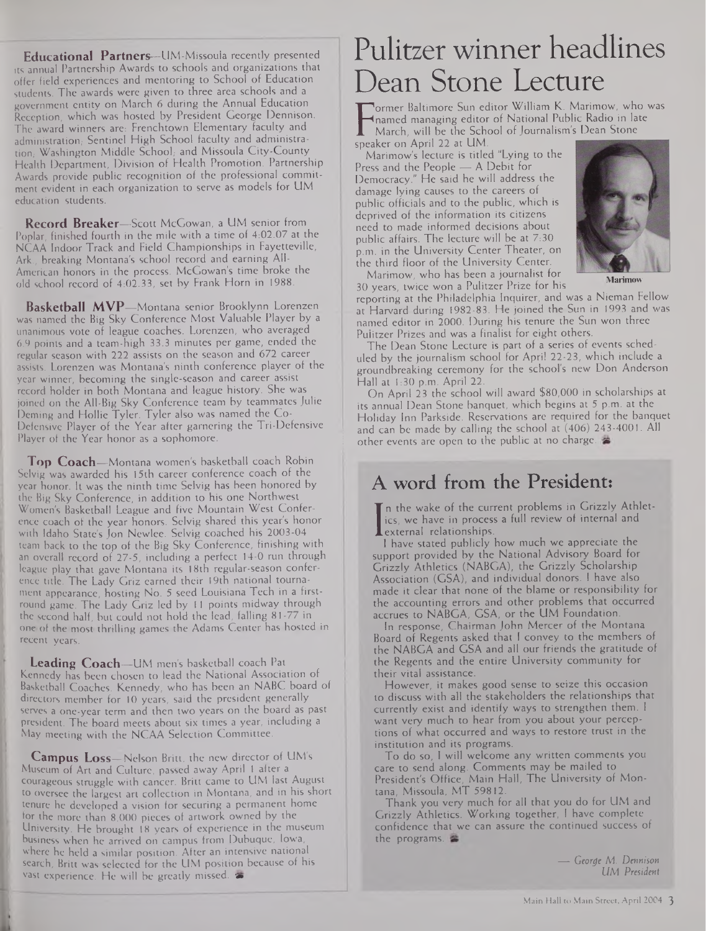**Educational Partners—**UM-Missoula recently presented its annual Partnership Awards to schools and organizations that offer field experiences and mentoring to School of Education students. The awards were given to three area schools and a government entity on March 6 during the Annual Education Reception, which was hosted by President George Dennison. The award winners are: Frenchtown Elementary faculty and administration, Sentinel High School faculty and administration, Washington Middle School, and Missoula City-County Health Department, Division of Health Promotion. Partnership Awards provide public recognition of the professional commitment evident in each organization to serve as models for UM education students.

**Record Breaker—**Scott McGowan, a UM senior from Poplar, finished fourth in the mile with a time of 4:02.07 at the NCAA Indoor Track and Field Championships in Fayetteville, Ark., breaking Montana's school record and earning All-American honors in the process. McGowan's time broke the old school record of 4:02.33, set by Frank Horn in 1988.

**Basketball MVP—**Montana senior Brooklynn Lorenzen was named the Big Sky Conference Most Valuable Player by a unanimous vote of league coaches. Lorenzen, who averaged 6.9 points and a team-high 33.3 minutes per game, ended the regular season with 222 assists on the season and 672 career assists. Lorenzen was Montana's ninth conference player of the year winner, becoming the single-season and career assist record holder in both Montana and league history. She was joined on the All-Big Sky Conference team by teammates Julie Deming and Hollie Tyler. Tyler also was named the Co-Defensive Player of the Year after garnering the Tri-Defensive Player of the Year honor as a sophomore.

**Top Coach—**Montana women's basketball coach Robin Selvig was awarded his 15th career conference coach of the year honor. It was the ninth time Selvig has been honored by the Big Sky Conference, in addition to his one Northwest Women's Basketball League and five Mountain West Conference coach of the year honors. Selvig shared this year's honor with Idaho State's Jon Newlee. Selvig coached his 2003-04 team back to the top of the Big Sky Conference, finishing with an overall record of 27-5, including a perfect 14-0 run through league play that gave Montana its 18th regular-season conference title. The Lady Griz earned their 19th national tournament appearance, hosting No. 5 seed Louisiana Tech in a firstround game. The Lady Griz led by 11 points midway through the second half, but could not hold the lead, falling 81-77 in one of the most thrilling-games the Adams Center has hosted in recent years.

**Leading Coach—**UM men's basketball coach Pat Kennedy has been chosen to lead the National Association of Basketball Coaches. Kennedy, who has been an NABC board of directors member for 10 years, said the president generally serves a one-year term and then two years on the board as past president. The board meets about six times a year, including a May meeting with the NCAA Selection Committee.

**Campus Loss—**Nelson Britt, the new director of UM'<sup>s</sup> Museum of Art and Culture, passed away April <sup>1</sup> after a courageous struggle with cancer. Britt came to UM last August to oversee the largest art collection in Montana, and in his short tenure he developed a vision for securing a permanent home for the more than 8,000 pieces of artwork owned by the University. He brought 18 years of experience in the museum business when he arrived on campus from Dubuque, Iowa, where he held a similar position. After an intensive national search, Britt was selected for the UM position because of his vast experience. He will be greatly missed.  $\bullet$ 

# Pulitzer winner headlines Dean Stone Lecture

**F** hamed managing editor of 1<br>
Speaker on April 22 at UM. ormer Baltimore Sun editor William K. Marimow, who was named managing editor of National Public Radio in late March, will be the School of Journalism's Dean Stone

Marimow's lecture is titled "Lying to the Press and the People — A Debit for Democracy." He said he will address the damage lying causes to the careers of public officials and to the public, which is deprived of the information its citizens need to made informed decisions about public affairs. The lecture will be at 7:30 p.m. in the University Center Theater, on the third floor of the University Center.



**Marimow**

Marimow, who has been a journalist for 30 years, twice won a Pulitzer Prize for his

reporting at the Philadelphia Inquirer, and was a Nieman Fellow at Harvard during 1982-83. He joined the Sun in 1993 and was named editor in 2000. During his tenure the Sun won three Pulitzer Prizes and was a finalist for eight others.

The Dean Stone Lecture is part of a series of events scheduled by the journalism school for April 22-23, which include a groundbreaking ceremony for the school's new Don Anderson Hall at 1:30 p.m. April 22.

On April 23 the school will award \$80,000 in scholarships at its annual Dean Stone banquet, which begins at 5 p.m. at the Holiday Inn Parkside. Reservations are required for the banquet and can be made by calling the school at (406) 243-4001. All other events are open to the public at no charge.

## A word from the President:

Lies, we have in process<br>external relationships.<br>I have stated publicly n the wake of the current problems in Grizzly Athletics, we have in process a full review of internal and

<sup>I</sup> have stated publicly how much we appreciate the support provided by the National Advisory Board for Grizzly Athletics (NABGA), the Grizzly Scholarship Association (GSA), and individual donors. <sup>I</sup> have also made it clear that none of the blame or responsibility for the accounting errors and other problems that occurred accrues to NABGA, GSA, or the UM Foundation.

In response, Chairman John Mercer of the Montana Board of Regents asked that <sup>I</sup> convey to the members of the NABGA and GSA and all our friends the gratitude of the Regents and the entire University community for their vital assistance.

However, it makes good sense to seize this occasion to discuss with all the stakeholders the relationships that currently exist and identify ways to strengthen them. <sup>I</sup> want very much to hear from you about your perceptions of what occurred and ways to restore trust in the institution and its programs.

To do so, <sup>I</sup> will welcome any written comments you care to send along. Comments may be mailed to President's Office, Main Hall, The University of Montana, Missoula, MT 59812.

Thank you very much for all that you do for UM and Grizzly Athletics. Working together, <sup>I</sup> have complete confidence that we can assure the continued success of the programs.

> *— George M. Dennison UM President*